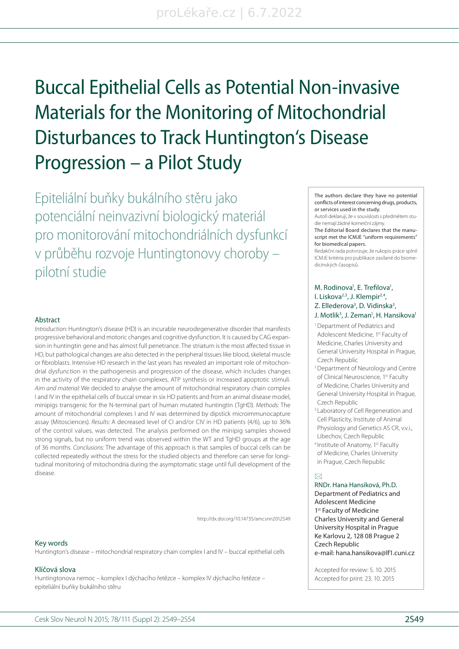# Buccal Epithelial Cells as Potential Non-invasive Materials for the Monitoring of Mitochondrial Disturbances to Track Huntington's Disease Progression – a Pilot Study

Epiteliální buňky bukálního stěru jako potenciální neinvazivní biologický materiál pro monitorování mitochondriálních dysfunkcí v průběhu rozvoje Huntingtonovy choroby – pilotní studie

#### Abstract

Introduction: Huntington's disease (HD) is an incurable neurodegenerative disorder that manifests progres sive behavioral and motoric changes and cognitive dysfunction. It is caused by CAG expansion in huntingtin gene and has almost full penetrance. The striatum is the most affected tissue in HD, but pathological changes are also detected in the peripheral tissues like blood, skeletal muscle or fibroblasts. Intensive HD research in the last years has revealed an important role of mitochondrial dysfunction in the pathogenesis and progression of the disease, which includes changes in the activity of the respiratory chain complexes, ATP synthesis or increased apoptotic stimuli. Aim and material: We decided to analyse the amount of mitochondrial respiratory chain complex I and IV in the epithelial cells of buccal smear in six HD patients and from an animal disease model, minipigs transgenic for the N-terminal part of human mutated huntingtin (TgHD). Methods: The amount of mitochondrial complexes I and IV was determined by dipstick microimmunocapture as say (Mitosciences). Results: A decreased level of CI and/or CIV in HD patients (4/6), up to 36% of the control values, was detected. The analysis performed on the minipig samples show ed strong signals, but no uniform trend was observed within the WT and TgHD groups at the age of 36 months. Conclusions: The advantage of this approach is that samples of buccal cells can be collected repeatedly without the stress for the studied objects and therefore can serve for longitudinal monitoring of mitochondria during the asymptomatic stage until full development of the disease.

http://dx.doi.org/10.14735/amcsnn2012S49

#### Key words

Huntington's disease – mitochondrial respiratory chain complex I and IV – buccal epithelial cells

## Klíčová slova

Huntingtonova nemoc – komplex I dýchacího řetězce – komplex IV dýchacího řetězce – epiteliální buňky bukálního stěru

The authors declare they have no potential conflicts of interest concerning drugs, products, or services used in the study.

Autoři deklarují, že v souvislosti s předmětem studie nemají žádné komerční zájmy.

The Editorial Board declares that the manuscript met the ICMJE "uniform requirements" for biomedical papers.

Redakční rada potvrzuje, že rukopis práce splnil ICMJE kritéria pro publikace zasílané do biomedicínských časopisů.

# M. Rodinova<sup>1</sup>, E. Trefilova<sup>1</sup>, I. Liskova<sup>2,3</sup>, J. Klempir<sup>2,4</sup>, Z. Ellederova<sup>3</sup>, D. Vidinska<sup>3</sup>,

- J. Motlik<sup>3</sup>, J. Zeman<sup>1</sup>, H. Hansikova<sup>1</sup>
- 1 Department of Pediatrics and Adolescent Medicine, 1st Faculty of Medicine, Charles University and General University Hospital in Prague, Czech Republic
- 2 Department of Neurology and Centre of Clinical Neuroscience, 1st Faculty of Medicine, Charles University and General University Hospital in Prague, Czech Republic
- <sup>3</sup> Laboratory of Cell Regeneration and Cell Plasticity, Institute of Animal Physiology and Genetics AS CR, v.v.i., Libechov, Czech Republic
- 4 Institute of Anatomy, 1st Faculty of Medicine, Charles University in Prague, Czech Republic

#### $\overline{\bowtie}$

RNDr. Hana Hansíková, Ph.D. Department of Pediatrics and Adolescent Medicine 1<sup>st</sup> Faculty of Medicine Charles University and General University Hospital in Prague Ke Karlovu 2, 128 08 Prague 2 Czech Republic e-mail: hana.hansikova@lf1.cuni.cz

Accepted for review: 5. 10. 2015 Accepted for print: 23. 10. 2015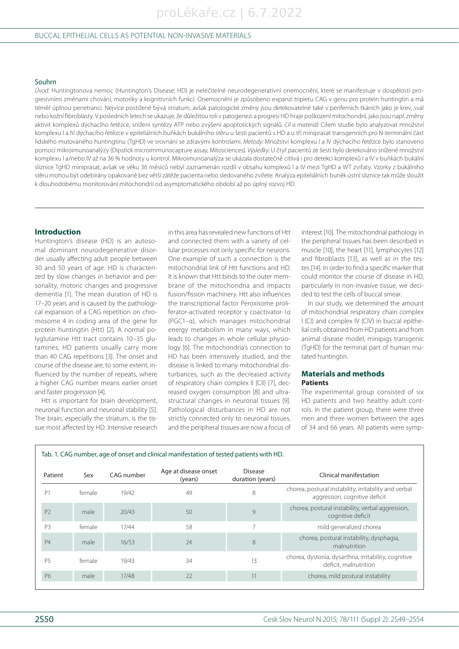#### Souhrn

Úvod: Huntingtonova nemoc (Huntington's Disease; HD) je neléčitelné neurodegenerativní onemocnění, které se manifestuje v dospělosti progresivními změnami chování, motoriky a kognitivních funkcí. Onemocnění je způsobeno expanzí tripletu CAG v genu pro protein huntingtin a má téměř úplnou penetranci. Nejvíce postižené bývá striatum, avšak patologické změny jsou detekovatelné také v periferních tkáních jako je krev, sval nebo kožní fibroblasty. V posledních letech se ukazuje, že důležitou roli v patogenezi a progresi HD hraje poškození mitochondrií, jako jsou např. změny aktivit komplexů dýchacího řetězce, snížení syntézy ATP nebo zvýšení apoptotických signálů. Cíl a materiál: Cílem studie bylo analyzovat množství komplexu I a IV dýchacího řetězce v epiteliálních buňkách bukálního stěru u šesti pacientů s HD a u tří miniprasat transgenních pro N-terminální část lidského mutovaného huntingtinu (TgHD) ve srovnání se zdravými kontrolami. Metody: Množství komplexu I a IV dýchacího řetězce bylo stanoveno pomocí mikroimunoanalýzy (Dipstick microimmunocapture assay, Mitosciences). Výsledky: U čtyř pacientů ze šesti bylo detekováno snížené množství komplexu I a/nebo IV až na 36 % hodnoty u kontrol. Mikroimunoanalýza se ukázala dostatečně citlivá i pro detekci komplexů I a IV v buňkách bukální sliznice TgHD miniprasat, avšak ve věku 36 měsíců nebyl zaznamenán rozdíl v obsahu komplexů I a IV mezi TgHD a WT zvířaty. Vzorky z bukálního stěru mohou být odebírány opakovaně bez větší zátěže pacienta nebo sledovaného zvířete. Analýza epiteliálních buněk ústní sliznice tak může sloužit k dlouhodobému monitorování mitochondrií od asymptomatického období až po úplný rozvoj HD.

## **Introduction**

Huntington's disease (HD) is an autosomal dominant neurodegenerative disorder usually affecting adult people between 30 and 50 years of age. HD is characterized by slow changes in behavior and personality, motoric changes and progressive dementia [1]. The mean duration of HD is 17–20 years and is caused by the pathological expansion of a CAG repetition on chromosome 4 in coding area of the gene for protein huntingtin (Htt) [2]. A normal polyglutamine Htt tract contains 10–35 glutamines; HD patients usually carry more than 40 CAG repetitions [3]. The onset and course of the disease are, to some extent, influenced by the number of repeats, where a higher CAG number means earlier onset and faster progression [4].

Htt is important for brain development, neuronal function and neuronal stability [5]. The brain, especially the striatum, is the tissue most affected by HD. Intensive research

Tab. 1. CAG number, age of onset and clinical manifestation of tested patients with HD.

in this area has revealed new functions of Htt and connected them with a variety of cellular processes not only specific for neurons. One example of such a connection is the mitochondrial link of Htt functions and HD. It is known that Htt binds to the outer membrane of the mitochondria and impacts fusion/fission machinery. Htt also influences the transcriptional factor Peroxisome proliferator-activated receptor γ coactivator-1α (PGC1–α), which manages mitochondrial energy metabolism in many ways, which leads to changes in whole cellular physiology [6]. The mitochondria's connection to HD has been intensively studied, and the disease is linked to many mitochondrial disturbances, such as the decreased activity of respiratory chain complex II (CII) [7], decreased oxygen consumption [8] and ultrastructural changes in neuronal tissues [9]. Pathological disturbances in HD are not strictly connected only to neuronal tissues, and the peripheral tissues are now a focus of interest [10]. The mitochondrial pathology in the peripheral tissues has been described in muscle [10], the heart [11], lymphocytes [12] and fibroblasts [13], as well as in the testes [14]. In order to find a specific marker that could monitor the course of disease in HD, particularly in non-invasive tissue, we decided to test the cells of buccal smear.

In our study, we determined the amount of mitochondrial respiratory chain complex I (CI) and complex IV (CIV) in buccal epithelial cells obtained from HD patients and from animal disease model, minipigs transgenic (TgHD) for the terminal part of human mutated huntingtin.

#### **Materials and methods Patients**

The experimental group consisted of six HD patients and two healthy adult controls. In the patient group, there were three men and three women between the ages of 34 and 66 years. All patients were symp-

| Patient        | Sex    | CAG number | Age at disease onset<br>(years) | <b>Disease</b><br>duration (years) | Clinical manifestation                                                                 |
|----------------|--------|------------|---------------------------------|------------------------------------|----------------------------------------------------------------------------------------|
| P <sub>1</sub> | female | 19/42      | 49                              | 8                                  | chorea, postural instability, irritability and verbal<br>aggression, cognitive deficit |
| P <sub>2</sub> | male   | 20/43      | 50                              | 9                                  | chorea, postural instability, verbal aggression,<br>cognitive deficit                  |
| P <sub>3</sub> | female | 17/44      | 58                              |                                    | mild generalized chorea                                                                |
| <b>P4</b>      | male   | 16/53      | 24                              | 8                                  | chorea, postural instability, dysphagia,<br>malnutrition                               |
| P <sub>5</sub> | female | 19/43      | 34                              | 13                                 | chorea, dystonia, dysarthria, irritability, cognitive<br>deficit, malnutrition         |
| P6             | male   | 17/48      | 22                              | 11                                 | chorea, mild postural instability                                                      |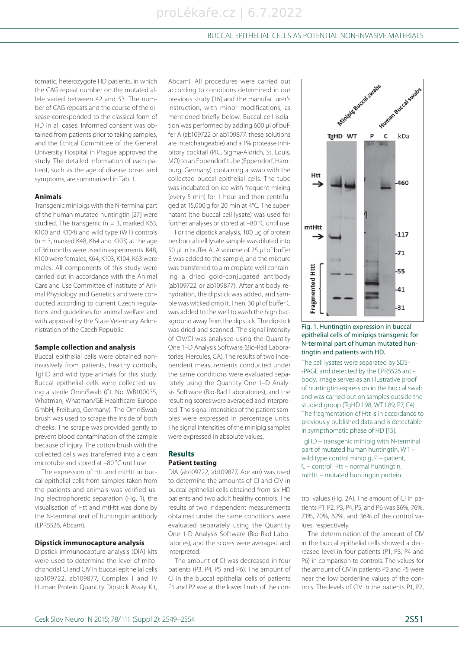tomatic, heterozygote HD patients, in which the CAG repeat number on the mutated allele varied between 42 and 53. The number of CAG repeats and the course of the disease corresponded to the classical form of HD in all cases. Informed consent was obtained from patients prior to taking samples. and the Ethical Committee of the General University Hospital in Prague approved the study. The detailed information of each patient, such as the age of disease onset and symptoms, are summarized in Tab. 1.

#### **Animals**

Transgenic minipigs with the N-terminal part of the human mutated huntingtin [27] were studied. The transgenic ( $n = 3$ , marked K63, K100 and K104) and wild type (WT) controls  $(n = 3,$  marked K48, K64 and K103) at the age of 36 months were used in experiments. K48, K100 were females, K64, K103, K104, K63 were males. All components of this study were carried out in accordance with the Animal Care and Use Committee of Institute of Animal Physiology and Genetics and were conducted according to current Czech regulations and guidelines for animal welfare and with approval by the State Veterinary Administration of the Czech Republic.

#### **Sample collection and analysis**

Buccal epithelial cells were obtained noninvasively from patients, healthy controls, TgHD and wild type animals for this study. Buccal epithelial cells were collected using a sterile OmniSwab (Ct. No. WB100035, Whatman, Whatman/GE Healthcare Europe GmbH, Freiburg, Germany). The OmniSwab brush was used to scrape the inside of both cheeks. The scrape was provided gently to prevent blood contamination of the sample because of injury. The cotton brush with the collected cells was transferred into a clean microtube and stored at –80 °C until use.

The expression of Htt and mtHtt in buccal epithelial cells from samples taken from the patients and animals was verified using electrophoretic separation (Fig. 1), the visualisation of Htt and mtHtt was done by the N-terminal unit of huntingtin antibody (EPR5526, Abcam).

#### **Dipstick im munocapture analysis**

Dipstick immunocapture analysis (DIA) kits were used to determine the level of mitochondrial CI and CIV in buccal epithelial cells (ab109722, ab109877, Complex I and IV Human Protein Quantity Dipstick Assay Kit,

Abcam). All procedures were carried out according to conditions determined in our previous study [16] and the manufacturer's instruction, with minor modifications, as mentioned briefly below. Buccal cell isolation was performed by adding 600 μl of buffer A (ab109722 or ab109877, these solutions are interchangeable) and a 1% protease inhibitory cocktail (PIC, Sigma-Aldrich, St. Louis, MO) to an Eppendorf tube (Eppendorf, Hamburg, Germany) containing a swab with the collected buccal epithelial cells. The tube was incubated on ice with frequent mixing (every 5 min) for 1 hour and then centrifuged at 15,000 g for 20 min at 4°C. The supernatant (the buccal cell lysate) was used for further analyses or stored at –80 °C until use.

For the dipstick analysis, 100 μg of protein per buccal cell lysate sample was diluted into 50 μl in buffer A. A volume of 25 μl of buffer B was added to the sample, and the mixture was transferred to a microplate well containing a dried gold-conjugated antibody (ab109722 or ab109877). After antibody rehydration, the dipstick was added, and sample was wicked onto it. Then, 30 μl of buffer C was added to the well to wash the high background away from the dipstick. The dipstick was dried and scanned. The signal intensity of CIV/CI was analysed using the Quantity One 1–D Analysis Software (Bio-Rad Laboratories, Hercules, CA). The results of two independent measurements conducted under the same conditions were evaluated separately using the Quantity One 1-D Analysis Software (Bio-Rad Laboratories), and the resulting scores were averaged and interpreted. The signal intensities of the patient samples were expressed in percentage units. The signal intensities of the minipig samples were expressed in absolute values.

## **Results Patient testing**

DIA (ab109722, ab109877, Abcam) was used to determine the amounts of CI and CIV in buccal epithelial cells obtained from six HD patients and two adult healthy controls. The results of two independent measurements obtained under the same conditions were evaluated separately using the Quantity One 1-D Analysis Software (Bio-Rad Laboratories), and the scores were averaged and interpreted

The amount of CI was decreased in four patients (P3, P4, P5 and P6). The amount of CI in the buccal epithelial cells of patients P1 and P2 was at the lower limits of the con-



Fig. 1. Huntingtin expression in buccal epithelial cells of minipigs transgenic for N-terminal part of human mutated huntingtin and patients with HD.

The cell lysates were separated by SDS- -PAGE and detected by the EPR5526 antibody. Image serves as an illustrative proof of huntingtin expression in the buccal swab and was carried out on samples outside the studied group (TgHD L98, WT L89, P7, C4). The fragmentation of Htt is in accordance to previously published data and is detectable in sympthomatic phase of HD [15].

TgHD – transgenic minipig with N-terminal part of mutated human huntingtin, WT – wild type control minipig, P – patient, C – control, Htt – normal huntingtin, mtHtt – mutated huntingtin protein.

trol values (Fig. 2A). The amount of CI in patients P1, P2, P3, P4, P5, and P6 was 86%, 76%, 71%, 70%, 62%, and 36% of the control values, respectively.

The determination of the amount of CIV in the buccal epithelial cells showed a decreased level in four patients (P1, P3, P4 and P6) in comparison to controls. The values for the amount of CIV in patients P2 and P5 were near the low borderline values of the controls. The levels of CIV in the patients P1, P2,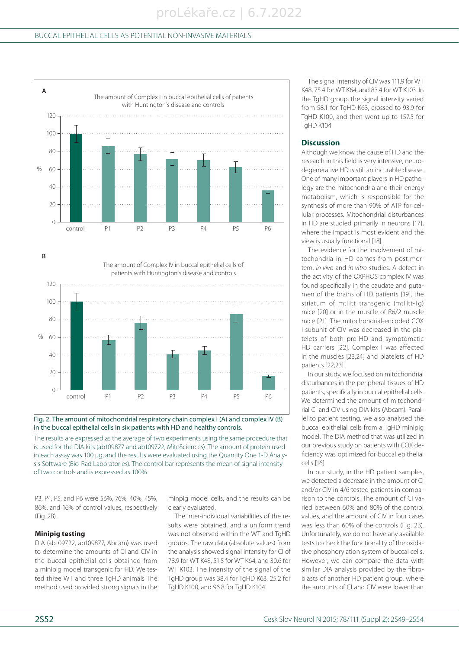

Fig. 2. The amount of mitochondrial respiratory chain complex I (A) and complex IV (B) in the buccal epithelial cells in six patients with HD and healthy controls.

The results are expressed as the average of two experiments using the same procedure that is used for the DIA kits (ab109877 and ab109722, MitoSciences). The amount of protein used in each assay was 100 μg, and the results were evaluated using the Quantity One 1-D Analysis Software (Bio-Rad Laboratories). The control bar represents the mean of signal intensity of two controls and is expressed as 100%.

P3, P4, P5, and P6 were 56%, 76%, 40%, 45%, 86%, and 16% of control values, respectively (Fig. 2B).

## **Minipig testing**

DIA (ab109722, ab109877, Abcam) was used to determine the amounts of CI and CIV in the buccal epithelial cells obtained from a minipig model transgenic for HD. We tested three WT and three TgHD animals The method used provided strong signals in the

minpig model cells, and the results can be clearly evaluated.

The inter-individual variabilities of the results were obtained, and a uniform trend was not observed within the WT and TgHD groups. The raw data (absolute values) from the analysis showed signal intensity for CI of 78.9 for WT K48, 51.5 for WT K64, and 30.6 for WT K103. The intensity of the signal of the TgHD group was 38.4 for TgHD K63, 25.2 for TgHD K100, and 96.8 for TgHD K104.

The signal intensity of CIV was 111.9 for WT K48, 75.4 for WT K64, and 83.4 for WT K103. In the TaHD group, the signal intensity varied from 58.1 for TgHD K63, crossed to 93.9 for TgHD K100, and then went up to 157.5 for **TaHD K104.** 

## **Discus sion**

Although we know the cause of HD and the research in this field is very intensive, neurodegenerative HD is still an incurable disease. One of many important players in HD pathology are the mitochondria and their energy metabolism, which is responsible for the synthesis of more than 90% of ATP for cellular processes. Mitochondrial disturbances in HD are studied primarily in neurons [17], where the impact is most evident and the view is usually functional [18].

The evidence for the involvement of mitochondria in HD comes from post-mortem, in vivo and in vitro studies. A defect in the activity of the OXPHOS complex IV was found specifically in the caudate and putamen of the brains of HD patients [19], the striatum of mtHtt transgenic (mtHtt-Tg) mice [20] or in the muscle of R6/2 muscle mice [21]. The mitochondrial-encoded COX I subunit of CIV was decreased in the platelets of both pre-HD and symptomatic HD carriers [22]. Complex I was affected in the muscles [23,24] and platelets of HD patients [22,23].

In our study, we focused on mitochondrial disturbances in the peripheral tissues of HD patients, specifically in buccal epithelial cells. We determined the amount of mitochondrial CI and CIV using DIA kits (Abcam). Parallel to patient testing, we also analysed the buccal epithelial cells from a TgHD minipig model. The DIA method that was utilized in our previous study on patients with COX deficiency was optimized for buccal epithelial cells [16].

In our study, in the HD patient samples, we detected a decrease in the amount of CI and/or CIV in 4/6 tested patients in comparison to the controls. The amount of CI varied between 60% and 80% of the control values, and the amount of CIV in four cases was less than 60% of the controls (Fig. 2B). Unfortunately, we do not have any available tests to check the functionality of the oxidative phosphorylation system of buccal cells. However, we can compare the data with similar DIA analysis provided by the fibroblasts of another HD patient group, where the amounts of CI and CIV were lower than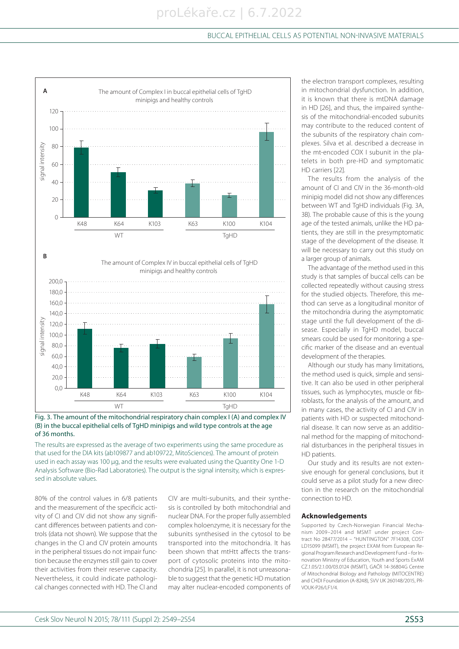

Fig. 3. The amount of the mitochondrial respiratory chain complex I (A) and complex IV (B) in the buccal epithelial cells of TgHD minipigs and wild type controls at the age of 36 months.

The results are expressed as the average of two experiments using the same procedure as that used for the DIA kits (ab109877 and ab109722, MitoSciences). The amount of protein used in each assay was 100 μg, and the results were evaluated using the Quantity One 1-D Analysis Software (Bio-Rad Laboratories). The output is the signal intensity, which is expressed in absolute values.

80% of the control values in 6/8 patients and the measurement of the specificic activity of CI and CIV did not show any significant differences between patients and controls (data not shown). We suppose that the changes in the CI and CIV protein amounts in the peripheral tissues do not impair function because the enzymes still gain to cover their activities from their reserve capacity. Nevertheless, it could indicate pathological changes connected with HD. The CI and

CIV are multi-subunits, and their synthesis is controlled by both mitochondrial and nuclear DNA. For the proper fully assembled complex holoenzyme, it is necessary for the subunits synthesised in the cytosol to be transported into the mitochondria. It has been shown that mtHtt affects the transport of cytosolic proteins into the mitochondria [25]. In parallel, it is not unreasonable to suggest that the genetic HD mutation may alter nuclear-encoded components of the electron transport complexes, resulting in mitochondrial dysfunction. In addition, it is known that there is mtDNA damage in HD [26], and thus, the impaired synthesis of the mitochondrial-encoded subunits may contribute to the reduced content of the subunits of the respiratory chain complexes. Silva et al. described a decrease in the mt-encoded COX I subunit in the platelets in both pre-HD and symptomatic HD carriers [22].

The results from the analysis of the amount of CI and CIV in the 36-month-old minipig model did not show any differences between WT and TgHD individuals (Fig. 3A, 3B). The probable cause of this is the young age of the tested animals, unlike the HD patients, they are still in the presymptomatic stage of the development of the disease. It will be necessary to carry out this study on a larger group of animals.

The advantage of the method used in this study is that samples of buccal cells can be collected repeatedly without causing stress for the studied objects. Therefore, this method can serve as a longitudinal monitor of the mitochondria during the asymptomatic stage until the full development of the disease. Especially in TgHD model, buccal smears could be used for monitoring a specific marker of the disease and an eventual development of the therapies.

Although our study has many limitations, the method used is quick, simple and sensitive. It can also be used in other peripheral tissues, such as lymphocytes, muscle or fibroblasts, for the analysis of the amount, and in many cases, the activity of CI and CIV in patients with HD or suspected mitochondrial disease. It can now serve as an additional method for the mapping of mitochondrial disturbances in the peripheral tissues in HD patients.

Our study and its results are not extensive enough for general conclusions, but it could serve as a pilot study for a new direction in the research on the mitochondrial connection to HD.

#### **Acknowledgements**

Supported by Czech-Norwegian Financial Mechanism 2009–2014 and MSMT under project Contract No 28477/2014 – "HUNTINGTON" 7F14308, COST LD15099 (MSMT), the project EXAM from European Regional Program Research and Development Fund – for Innovation Ministry of Education, Youth and Sports ExAM CZ.1.05/2.1.00/03.0124 (MSMT), GAČR 14-36804G Centre of Mitochondrial Biology and Pathology (MITOCENTRE) and CHDI Foundation (A-8248), SVV UK 260148/2015, PR-VOUK-P26/LF1/4.